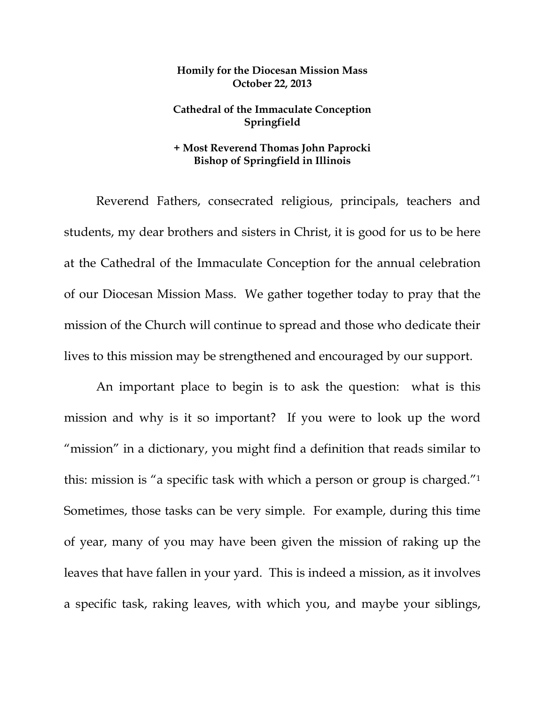## **Homily for the Diocesan Mission Mass October 22, 2013**

## **Cathedral of the Immaculate Conception Springfield**

## **+ Most Reverend Thomas John Paprocki Bishop of Springfield in Illinois**

 Reverend Fathers, consecrated religious, principals, teachers and students, my dear brothers and sisters in Christ, it is good for us to be here at the Cathedral of the Immaculate Conception for the annual celebration of our Diocesan Mission Mass. We gather together today to pray that the mission of the Church will continue to spread and those who dedicate their lives to this mission may be strengthened and encouraged by our support.

 An important place to begin is to ask the question: what is this mission and why is it so important? If you were to look up the word "mission" in a dictionary, you might find a definition that reads similar to this: mission is "a specific task with which a person or group is charged."1 Sometimes, those tasks can be very simple. For example, during this time of year, many of you may have been given the mission of raking up the leaves that have fallen in your yard. This is indeed a mission, as it involves a specific task, raking leaves, with which you, and maybe your siblings,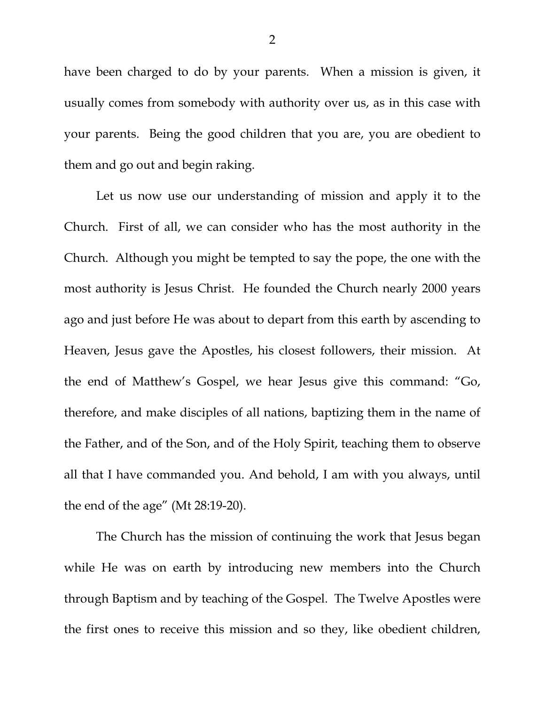have been charged to do by your parents. When a mission is given, it usually comes from somebody with authority over us, as in this case with your parents. Being the good children that you are, you are obedient to them and go out and begin raking.

 Let us now use our understanding of mission and apply it to the Church. First of all, we can consider who has the most authority in the Church. Although you might be tempted to say the pope, the one with the most authority is Jesus Christ. He founded the Church nearly 2000 years ago and just before He was about to depart from this earth by ascending to Heaven, Jesus gave the Apostles, his closest followers, their mission. At the end of Matthew's Gospel, we hear Jesus give this command: "Go, therefore, and make disciples of all nations, baptizing them in the name of the Father, and of the Son, and of the Holy Spirit, teaching them to observe all that I have commanded you. And behold, I am with you always, until the end of the age" (Mt 28:19-20).

 The Church has the mission of continuing the work that Jesus began while He was on earth by introducing new members into the Church through Baptism and by teaching of the Gospel. The Twelve Apostles were the first ones to receive this mission and so they, like obedient children,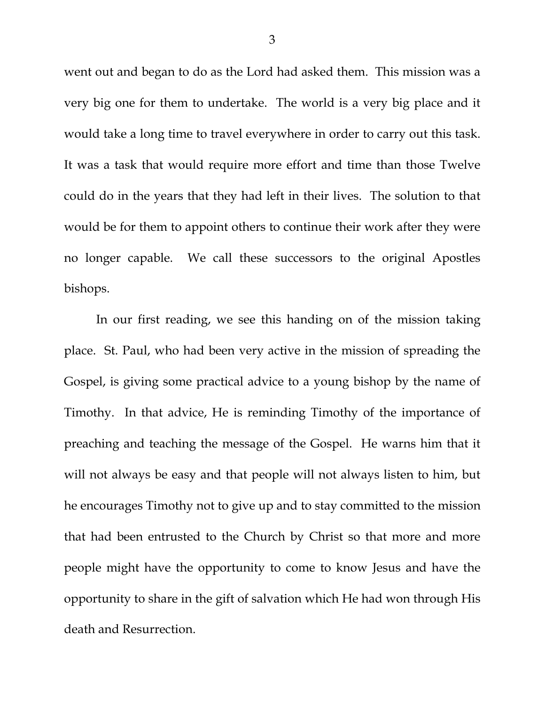went out and began to do as the Lord had asked them. This mission was a very big one for them to undertake. The world is a very big place and it would take a long time to travel everywhere in order to carry out this task. It was a task that would require more effort and time than those Twelve could do in the years that they had left in their lives. The solution to that would be for them to appoint others to continue their work after they were no longer capable. We call these successors to the original Apostles bishops.

 In our first reading, we see this handing on of the mission taking place. St. Paul, who had been very active in the mission of spreading the Gospel, is giving some practical advice to a young bishop by the name of Timothy. In that advice, He is reminding Timothy of the importance of preaching and teaching the message of the Gospel. He warns him that it will not always be easy and that people will not always listen to him, but he encourages Timothy not to give up and to stay committed to the mission that had been entrusted to the Church by Christ so that more and more people might have the opportunity to come to know Jesus and have the opportunity to share in the gift of salvation which He had won through His death and Resurrection.

3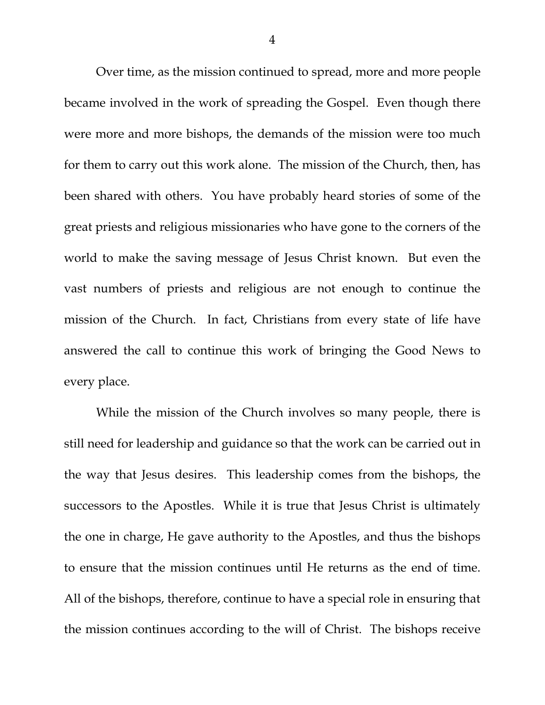Over time, as the mission continued to spread, more and more people became involved in the work of spreading the Gospel. Even though there were more and more bishops, the demands of the mission were too much for them to carry out this work alone. The mission of the Church, then, has been shared with others. You have probably heard stories of some of the great priests and religious missionaries who have gone to the corners of the world to make the saving message of Jesus Christ known. But even the vast numbers of priests and religious are not enough to continue the mission of the Church. In fact, Christians from every state of life have answered the call to continue this work of bringing the Good News to every place.

While the mission of the Church involves so many people, there is still need for leadership and guidance so that the work can be carried out in the way that Jesus desires. This leadership comes from the bishops, the successors to the Apostles. While it is true that Jesus Christ is ultimately the one in charge, He gave authority to the Apostles, and thus the bishops to ensure that the mission continues until He returns as the end of time. All of the bishops, therefore, continue to have a special role in ensuring that the mission continues according to the will of Christ. The bishops receive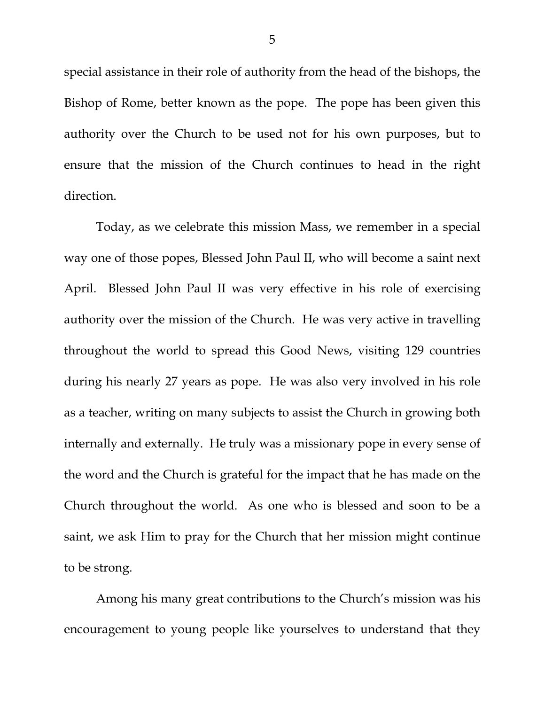special assistance in their role of authority from the head of the bishops, the Bishop of Rome, better known as the pope. The pope has been given this authority over the Church to be used not for his own purposes, but to ensure that the mission of the Church continues to head in the right direction.

Today, as we celebrate this mission Mass, we remember in a special way one of those popes, Blessed John Paul II, who will become a saint next April. Blessed John Paul II was very effective in his role of exercising authority over the mission of the Church. He was very active in travelling throughout the world to spread this Good News, visiting 129 countries during his nearly 27 years as pope. He was also very involved in his role as a teacher, writing on many subjects to assist the Church in growing both internally and externally. He truly was a missionary pope in every sense of the word and the Church is grateful for the impact that he has made on the Church throughout the world. As one who is blessed and soon to be a saint, we ask Him to pray for the Church that her mission might continue to be strong.

Among his many great contributions to the Church's mission was his encouragement to young people like yourselves to understand that they

5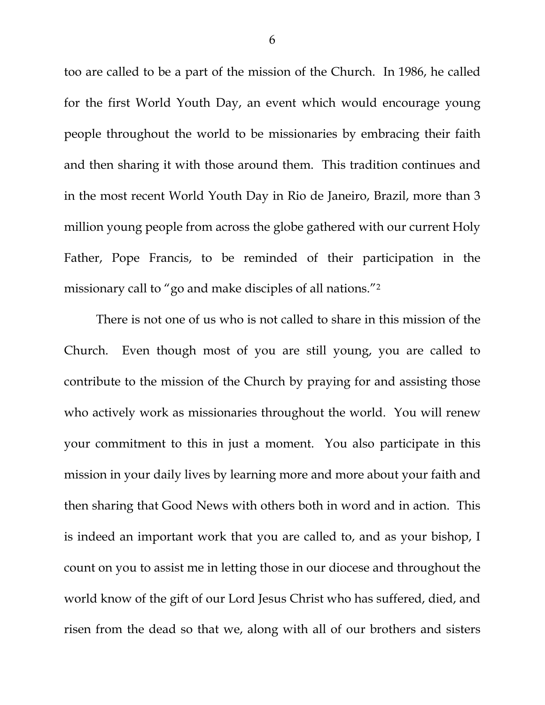too are called to be a part of the mission of the Church. In 1986, he called for the first World Youth Day, an event which would encourage young people throughout the world to be missionaries by embracing their faith and then sharing it with those around them. This tradition continues and in the most recent World Youth Day in Rio de Janeiro, Brazil, more than 3 million young people from across the globe gathered with our current Holy Father, Pope Francis, to be reminded of their participation in the missionary call to "go and make disciples of all nations."2

There is not one of us who is not called to share in this mission of the Church. Even though most of you are still young, you are called to contribute to the mission of the Church by praying for and assisting those who actively work as missionaries throughout the world. You will renew your commitment to this in just a moment. You also participate in this mission in your daily lives by learning more and more about your faith and then sharing that Good News with others both in word and in action. This is indeed an important work that you are called to, and as your bishop, I count on you to assist me in letting those in our diocese and throughout the world know of the gift of our Lord Jesus Christ who has suffered, died, and risen from the dead so that we, along with all of our brothers and sisters